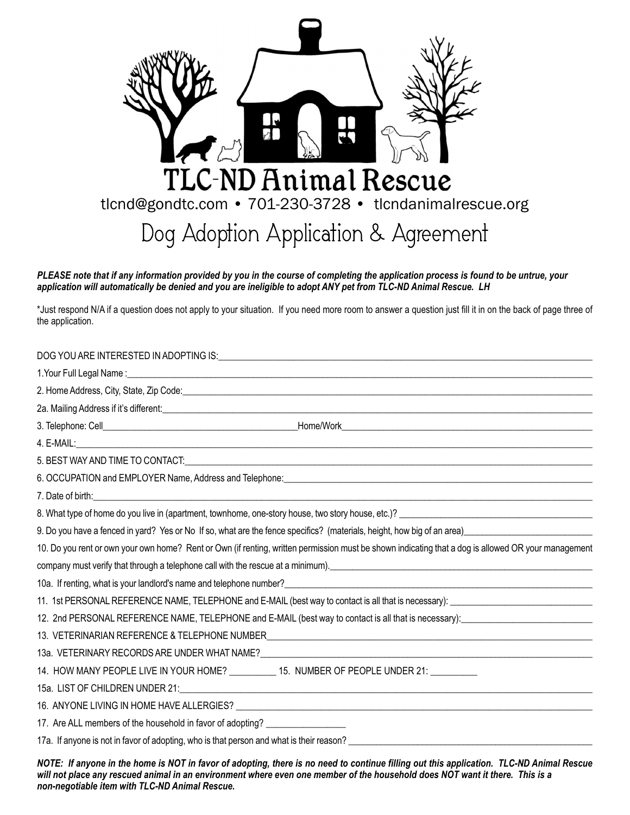

PLEASE note that if any information provided by you in the course of completing the application process is found to be untrue, your application will automatically be denied and you are ineligible to adopt ANY pet from TLC-ND Animal Rescue. LH

\*Just respond N/A if a question does not apply to your situation. If you need more room to answer a question just fill it in on the back of page three of the application.

| 7. Date of birth: <u>Communication and the communication</u> and the contract of the contract of the contract of the contract of the contract of the contract of the contract of the contract of the contract of the contract of th |
|-------------------------------------------------------------------------------------------------------------------------------------------------------------------------------------------------------------------------------------|
|                                                                                                                                                                                                                                     |
| 9. Do you have a fenced in yard? Yes or No If so, what are the fence specifics? (materials, height, how big of an area)                                                                                                             |
| 10. Do you rent or own your own home? Rent or Own (if renting, written permission must be shown indicating that a dog is allowed OR your management                                                                                 |
| company must verify that through a telephone call with the rescue at a minimum).<br>in the minimum matter of the contract of the state of the state of the state of the state of the state of the                                   |
| 10a. If renting, what is your landlord's name and telephone number?<br>10a. If renting, what is your landlord's name and telephone number?<br>10a. If renting, what is your landlord's name and telephone number?                   |
| 11. 1st PERSONAL REFERENCE NAME, TELEPHONE and E-MAIL (best way to contact is all that is necessary): 1. The match of the state of the state of the state of the state of the state of the state of the state of the state of       |
| 12. 2nd PERSONAL REFERENCE NAME, TELEPHONE and E-MAIL (best way to contact is all that is necessary):                                                                                                                               |
| 13. VETERINARIAN REFERENCE & TELEPHONE NUMBER___________________________________                                                                                                                                                    |
|                                                                                                                                                                                                                                     |
| 14. HOW MANY PEOPLE LIVE IN YOUR HOME? __________ 15. NUMBER OF PEOPLE UNDER 21: _________                                                                                                                                          |
|                                                                                                                                                                                                                                     |
|                                                                                                                                                                                                                                     |
| 17. Are ALL members of the household in favor of adopting? ____________________                                                                                                                                                     |
| 17a. If anyone is not in favor of adopting, who is that person and what is their reason?                                                                                                                                            |
|                                                                                                                                                                                                                                     |

NOTE: If anyone in the home is NOT in favor of adopting, there is no need to continue filling out this application. TLC-ND Animal Rescue will not place any rescued animal in an environment where even one member of the household does NOT want it there. This is a *non-negotiable item with TLC-ND Animal Rescue.*